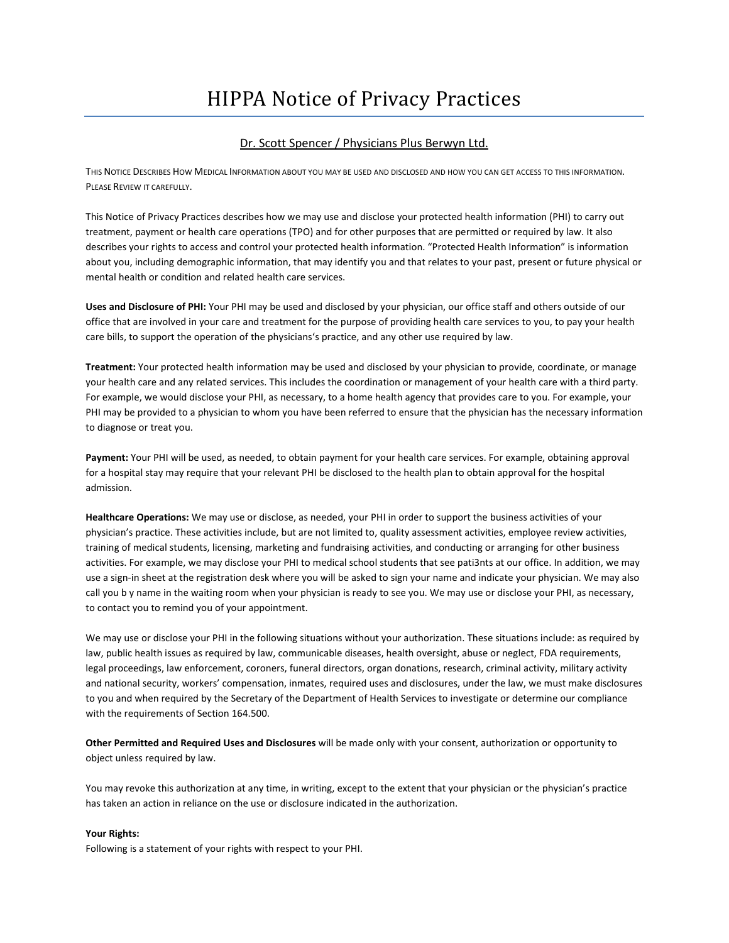# HIPPA Notice of Privacy Practices

## Dr. Scott Spencer / Physicians Plus Berwyn Ltd.

THIS NOTICE DESCRIBES HOW MEDICAL INFORMATION ABOUT YOU MAY BE USED AND DISCLOSED AND HOW YOU CAN GET ACCESS TO THIS INFORMATION. PLEASE REVIEW IT CAREFULLY.

This Notice of Privacy Practices describes how we may use and disclose your protected health information (PHI) to carry out treatment, payment or health care operations (TPO) and for other purposes that are permitted or required by law. It also describes your rights to access and control your protected health information. "Protected Health Information" is information about you, including demographic information, that may identify you and that relates to your past, present or future physical or mental health or condition and related health care services.

Uses and Disclosure of PHI: Your PHI may be used and disclosed by your physician, our office staff and others outside of our office that are involved in your care and treatment for the purpose of providing health care services to you, to pay your health care bills, to support the operation of the physicians's practice, and any other use required by law.

Treatment: Your protected health information may be used and disclosed by your physician to provide, coordinate, or manage your health care and any related services. This includes the coordination or management of your health care with a third party. For example, we would disclose your PHI, as necessary, to a home health agency that provides care to you. For example, your PHI may be provided to a physician to whom you have been referred to ensure that the physician has the necessary information to diagnose or treat you.

Payment: Your PHI will be used, as needed, to obtain payment for your health care services. For example, obtaining approval for a hospital stay may require that your relevant PHI be disclosed to the health plan to obtain approval for the hospital admission.

Healthcare Operations: We may use or disclose, as needed, your PHI in order to support the business activities of your physician's practice. These activities include, but are not limited to, quality assessment activities, employee review activities, training of medical students, licensing, marketing and fundraising activities, and conducting or arranging for other business activities. For example, we may disclose your PHI to medical school students that see pati3nts at our office. In addition, we may use a sign-in sheet at the registration desk where you will be asked to sign your name and indicate your physician. We may also call you b y name in the waiting room when your physician is ready to see you. We may use or disclose your PHI, as necessary, to contact you to remind you of your appointment.

We may use or disclose your PHI in the following situations without your authorization. These situations include: as required by law, public health issues as required by law, communicable diseases, health oversight, abuse or neglect, FDA requirements, legal proceedings, law enforcement, coroners, funeral directors, organ donations, research, criminal activity, military activity and national security, workers' compensation, inmates, required uses and disclosures, under the law, we must make disclosures to you and when required by the Secretary of the Department of Health Services to investigate or determine our compliance with the requirements of Section 164.500.

Other Permitted and Required Uses and Disclosures will be made only with your consent, authorization or opportunity to object unless required by law.

You may revoke this authorization at any time, in writing, except to the extent that your physician or the physician's practice has taken an action in reliance on the use or disclosure indicated in the authorization.

#### Your Rights:

Following is a statement of your rights with respect to your PHI.